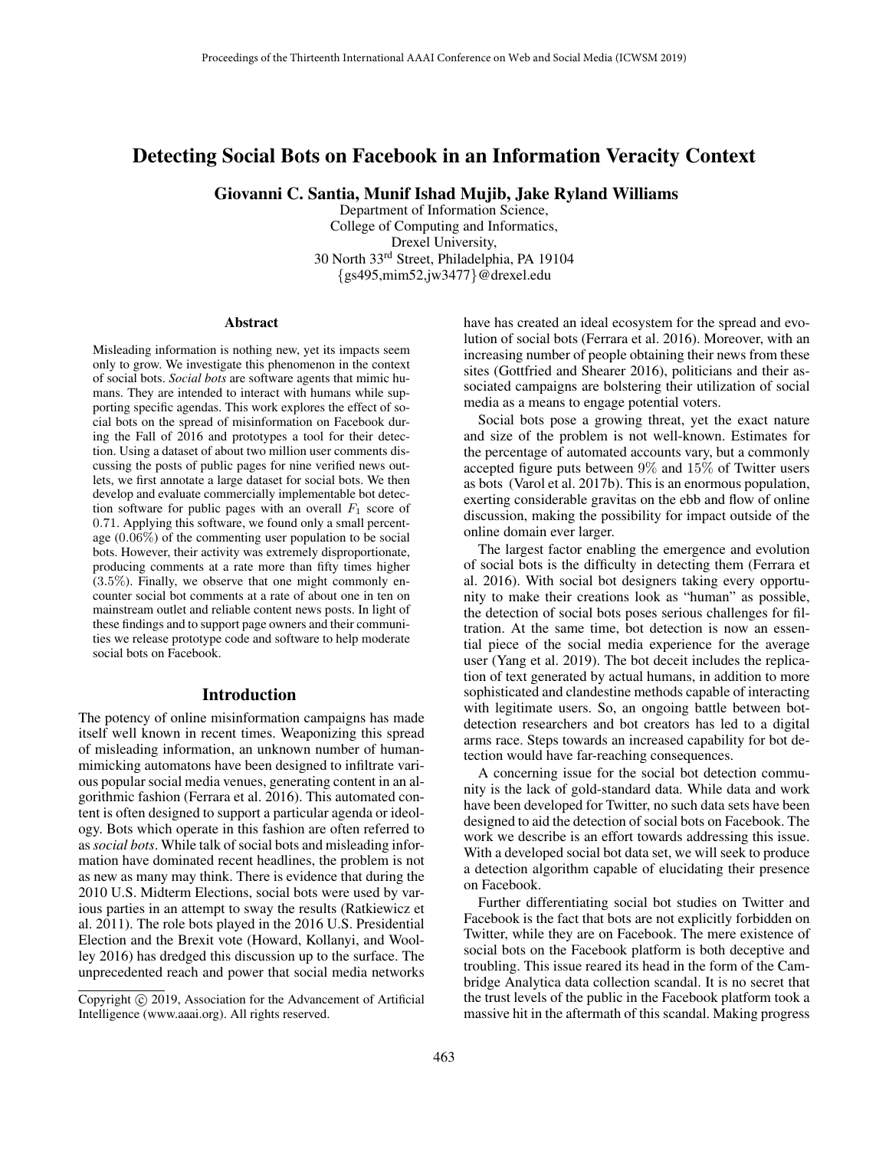# Detecting Social Bots on Facebook in an Information Veracity Context

Giovanni C. Santia, Munif Ishad Mujib, Jake Ryland Williams

Department of Information Science, College of Computing and Informatics, Drexel University, 30 North 33rd Street, Philadelphia, PA 19104 {gs495,mim52,jw3477}@drexel.edu

#### Abstract

Misleading information is nothing new, yet its impacts seem only to grow. We investigate this phenomenon in the context of social bots. *Social bots* are software agents that mimic humans. They are intended to interact with humans while supporting specific agendas. This work explores the effect of social bots on the spread of misinformation on Facebook during the Fall of 2016 and prototypes a tool for their detection. Using a dataset of about two million user comments discussing the posts of public pages for nine verified news outlets, we first annotate a large dataset for social bots. We then develop and evaluate commercially implementable bot detection software for public pages with an overall  $F_1$  score of 0.71. Applying this software, we found only a small percentage (0.06%) of the commenting user population to be social bots. However, their activity was extremely disproportionate, producing comments at a rate more than fifty times higher (3.5%). Finally, we observe that one might commonly encounter social bot comments at a rate of about one in ten on mainstream outlet and reliable content news posts. In light of these findings and to support page owners and their communities we release prototype code and software to help moderate social bots on Facebook.

### Introduction

The potency of online misinformation campaigns has made itself well known in recent times. Weaponizing this spread of misleading information, an unknown number of humanmimicking automatons have been designed to infiltrate various popular social media venues, generating content in an algorithmic fashion (Ferrara et al. 2016). This automated content is often designed to support a particular agenda or ideology. Bots which operate in this fashion are often referred to as*social bots*. While talk of social bots and misleading information have dominated recent headlines, the problem is not as new as many may think. There is evidence that during the 2010 U.S. Midterm Elections, social bots were used by various parties in an attempt to sway the results (Ratkiewicz et al. 2011). The role bots played in the 2016 U.S. Presidential Election and the Brexit vote (Howard, Kollanyi, and Woolley 2016) has dredged this discussion up to the surface. The unprecedented reach and power that social media networks

have has created an ideal ecosystem for the spread and evolution of social bots (Ferrara et al. 2016). Moreover, with an increasing number of people obtaining their news from these sites (Gottfried and Shearer 2016), politicians and their associated campaigns are bolstering their utilization of social media as a means to engage potential voters.

Social bots pose a growing threat, yet the exact nature and size of the problem is not well-known. Estimates for the percentage of automated accounts vary, but a commonly accepted figure puts between 9% and 15% of Twitter users as bots (Varol et al. 2017b). This is an enormous population, exerting considerable gravitas on the ebb and flow of online discussion, making the possibility for impact outside of the online domain ever larger.

The largest factor enabling the emergence and evolution of social bots is the difficulty in detecting them (Ferrara et al. 2016). With social bot designers taking every opportunity to make their creations look as "human" as possible, the detection of social bots poses serious challenges for filtration. At the same time, bot detection is now an essential piece of the social media experience for the average user (Yang et al. 2019). The bot deceit includes the replication of text generated by actual humans, in addition to more sophisticated and clandestine methods capable of interacting with legitimate users. So, an ongoing battle between botdetection researchers and bot creators has led to a digital arms race. Steps towards an increased capability for bot detection would have far-reaching consequences.

A concerning issue for the social bot detection community is the lack of gold-standard data. While data and work have been developed for Twitter, no such data sets have been designed to aid the detection of social bots on Facebook. The work we describe is an effort towards addressing this issue. With a developed social bot data set, we will seek to produce a detection algorithm capable of elucidating their presence on Facebook.

Further differentiating social bot studies on Twitter and Facebook is the fact that bots are not explicitly forbidden on Twitter, while they are on Facebook. The mere existence of social bots on the Facebook platform is both deceptive and troubling. This issue reared its head in the form of the Cambridge Analytica data collection scandal. It is no secret that the trust levels of the public in the Facebook platform took a massive hit in the aftermath of this scandal. Making progress

Copyright © 2019, Association for the Advancement of Artificial Intelligence (www.aaai.org). All rights reserved.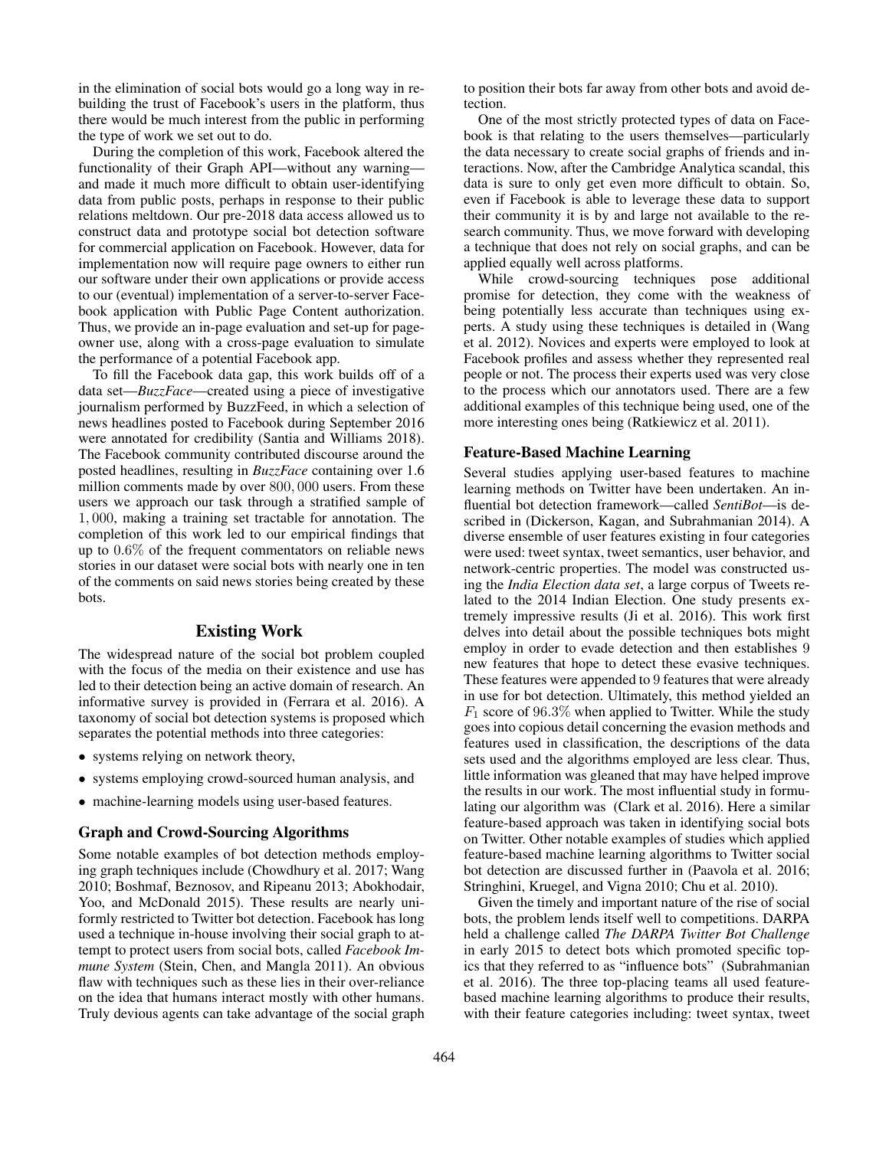in the elimination of social bots would go a long way in rebuilding the trust of Facebook's users in the platform, thus there would be much interest from the public in performing the type of work we set out to do.

During the completion of this work, Facebook altered the functionality of their Graph API—without any warning and made it much more difficult to obtain user-identifying data from public posts, perhaps in response to their public relations meltdown. Our pre-2018 data access allowed us to construct data and prototype social bot detection software for commercial application on Facebook. However, data for implementation now will require page owners to either run our software under their own applications or provide access to our (eventual) implementation of a server-to-server Facebook application with Public Page Content authorization. Thus, we provide an in-page evaluation and set-up for pageowner use, along with a cross-page evaluation to simulate the performance of a potential Facebook app.

To fill the Facebook data gap, this work builds off of a data set—*BuzzFace*—created using a piece of investigative journalism performed by BuzzFeed, in which a selection of news headlines posted to Facebook during September 2016 were annotated for credibility (Santia and Williams 2018). The Facebook community contributed discourse around the posted headlines, resulting in *BuzzFace* containing over 1.6 million comments made by over 800, 000 users. From these users we approach our task through a stratified sample of 1, 000, making a training set tractable for annotation. The completion of this work led to our empirical findings that up to 0.6% of the frequent commentators on reliable news stories in our dataset were social bots with nearly one in ten of the comments on said news stories being created by these bots.

### Existing Work

The widespread nature of the social bot problem coupled with the focus of the media on their existence and use has led to their detection being an active domain of research. An informative survey is provided in (Ferrara et al. 2016). A taxonomy of social bot detection systems is proposed which separates the potential methods into three categories:

- systems relying on network theory,
- systems employing crowd-sourced human analysis, and
- machine-learning models using user-based features.

### Graph and Crowd-Sourcing Algorithms

Some notable examples of bot detection methods employing graph techniques include (Chowdhury et al. 2017; Wang 2010; Boshmaf, Beznosov, and Ripeanu 2013; Abokhodair, Yoo, and McDonald 2015). These results are nearly uniformly restricted to Twitter bot detection. Facebook has long used a technique in-house involving their social graph to attempt to protect users from social bots, called *Facebook Immune System* (Stein, Chen, and Mangla 2011). An obvious flaw with techniques such as these lies in their over-reliance on the idea that humans interact mostly with other humans. Truly devious agents can take advantage of the social graph

to position their bots far away from other bots and avoid detection.

One of the most strictly protected types of data on Facebook is that relating to the users themselves—particularly the data necessary to create social graphs of friends and interactions. Now, after the Cambridge Analytica scandal, this data is sure to only get even more difficult to obtain. So, even if Facebook is able to leverage these data to support their community it is by and large not available to the research community. Thus, we move forward with developing a technique that does not rely on social graphs, and can be applied equally well across platforms.

While crowd-sourcing techniques pose additional promise for detection, they come with the weakness of being potentially less accurate than techniques using experts. A study using these techniques is detailed in (Wang et al. 2012). Novices and experts were employed to look at Facebook profiles and assess whether they represented real people or not. The process their experts used was very close to the process which our annotators used. There are a few additional examples of this technique being used, one of the more interesting ones being (Ratkiewicz et al. 2011).

#### Feature-Based Machine Learning

Several studies applying user-based features to machine learning methods on Twitter have been undertaken. An influential bot detection framework—called *SentiBot*—is described in (Dickerson, Kagan, and Subrahmanian 2014). A diverse ensemble of user features existing in four categories were used: tweet syntax, tweet semantics, user behavior, and network-centric properties. The model was constructed using the *India Election data set*, a large corpus of Tweets related to the 2014 Indian Election. One study presents extremely impressive results (Ji et al. 2016). This work first delves into detail about the possible techniques bots might employ in order to evade detection and then establishes 9 new features that hope to detect these evasive techniques. These features were appended to 9 features that were already in use for bot detection. Ultimately, this method yielded an  $F_1$  score of 96.3% when applied to Twitter. While the study goes into copious detail concerning the evasion methods and features used in classification, the descriptions of the data sets used and the algorithms employed are less clear. Thus, little information was gleaned that may have helped improve the results in our work. The most influential study in formulating our algorithm was (Clark et al. 2016). Here a similar feature-based approach was taken in identifying social bots on Twitter. Other notable examples of studies which applied feature-based machine learning algorithms to Twitter social bot detection are discussed further in (Paavola et al. 2016; Stringhini, Kruegel, and Vigna 2010; Chu et al. 2010).

Given the timely and important nature of the rise of social bots, the problem lends itself well to competitions. DARPA held a challenge called *The DARPA Twitter Bot Challenge* in early 2015 to detect bots which promoted specific topics that they referred to as "influence bots" (Subrahmanian et al. 2016). The three top-placing teams all used featurebased machine learning algorithms to produce their results, with their feature categories including: tweet syntax, tweet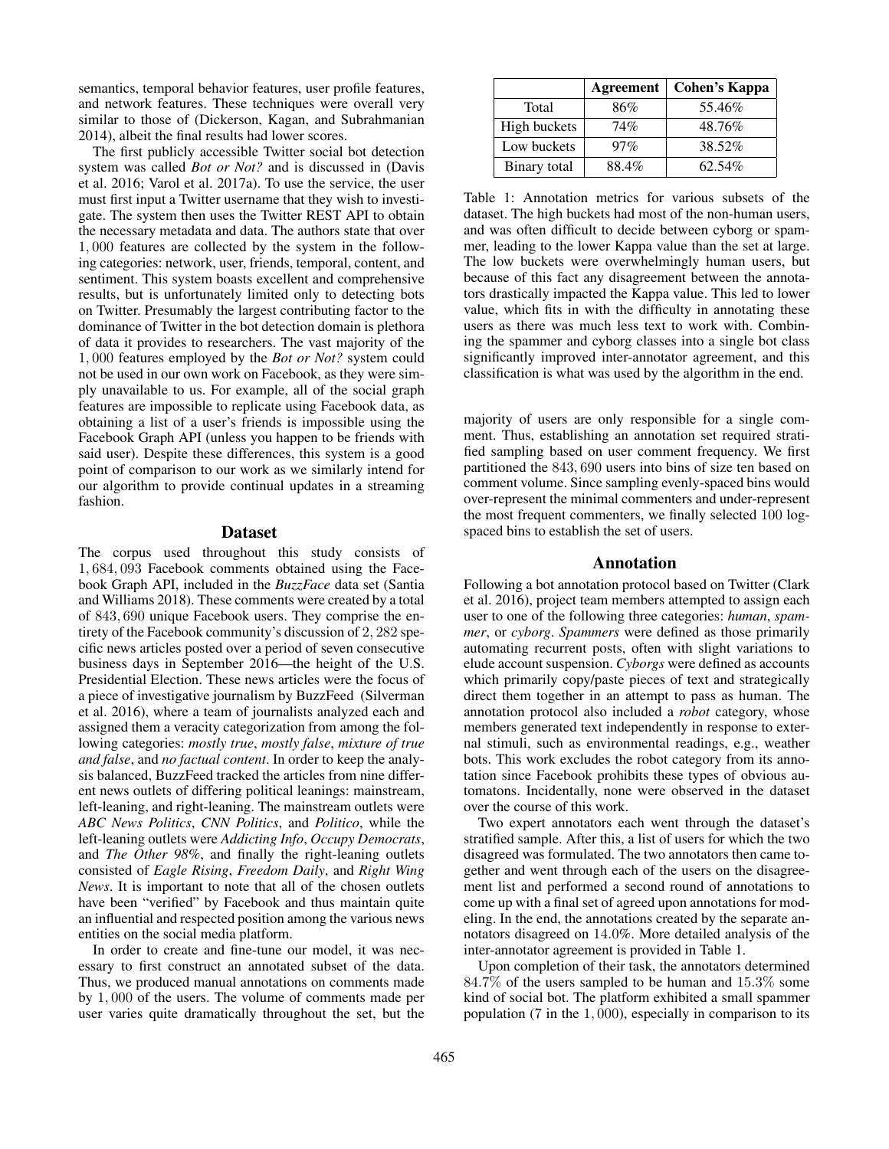semantics, temporal behavior features, user profile features, and network features. These techniques were overall very similar to those of (Dickerson, Kagan, and Subrahmanian 2014), albeit the final results had lower scores.

The first publicly accessible Twitter social bot detection system was called *Bot or Not?* and is discussed in (Davis et al. 2016; Varol et al. 2017a). To use the service, the user must first input a Twitter username that they wish to investigate. The system then uses the Twitter REST API to obtain the necessary metadata and data. The authors state that over 1, 000 features are collected by the system in the following categories: network, user, friends, temporal, content, and sentiment. This system boasts excellent and comprehensive results, but is unfortunately limited only to detecting bots on Twitter. Presumably the largest contributing factor to the dominance of Twitter in the bot detection domain is plethora of data it provides to researchers. The vast majority of the 1, 000 features employed by the *Bot or Not?* system could not be used in our own work on Facebook, as they were simply unavailable to us. For example, all of the social graph features are impossible to replicate using Facebook data, as obtaining a list of a user's friends is impossible using the Facebook Graph API (unless you happen to be friends with said user). Despite these differences, this system is a good point of comparison to our work as we similarly intend for our algorithm to provide continual updates in a streaming fashion.

### Dataset

The corpus used throughout this study consists of 1, 684, 093 Facebook comments obtained using the Facebook Graph API, included in the *BuzzFace* data set (Santia and Williams 2018). These comments were created by a total of 843, 690 unique Facebook users. They comprise the entirety of the Facebook community's discussion of 2, 282 specific news articles posted over a period of seven consecutive business days in September 2016—the height of the U.S. Presidential Election. These news articles were the focus of a piece of investigative journalism by BuzzFeed (Silverman et al. 2016), where a team of journalists analyzed each and assigned them a veracity categorization from among the following categories: *mostly true*, *mostly false*, *mixture of true and false*, and *no factual content*. In order to keep the analysis balanced, BuzzFeed tracked the articles from nine different news outlets of differing political leanings: mainstream, left-leaning, and right-leaning. The mainstream outlets were *ABC News Politics*, *CNN Politics*, and *Politico*, while the left-leaning outlets were *Addicting Info*, *Occupy Democrats*, and *The Other 98%*, and finally the right-leaning outlets consisted of *Eagle Rising*, *Freedom Daily*, and *Right Wing News*. It is important to note that all of the chosen outlets have been "verified" by Facebook and thus maintain quite an influential and respected position among the various news entities on the social media platform.

In order to create and fine-tune our model, it was necessary to first construct an annotated subset of the data. Thus, we produced manual annotations on comments made by 1, 000 of the users. The volume of comments made per user varies quite dramatically throughout the set, but the

|              | Agreement | Cohen's Kappa |
|--------------|-----------|---------------|
| Total        | 86%       | 55.46%        |
| High buckets | 74%       | 48.76%        |
| Low buckets  | 97%       | 38.52%        |
| Binary total | 88.4%     | 62.54%        |

Table 1: Annotation metrics for various subsets of the dataset. The high buckets had most of the non-human users, and was often difficult to decide between cyborg or spammer, leading to the lower Kappa value than the set at large. The low buckets were overwhelmingly human users, but because of this fact any disagreement between the annotators drastically impacted the Kappa value. This led to lower value, which fits in with the difficulty in annotating these users as there was much less text to work with. Combining the spammer and cyborg classes into a single bot class significantly improved inter-annotator agreement, and this classification is what was used by the algorithm in the end.

majority of users are only responsible for a single comment. Thus, establishing an annotation set required stratified sampling based on user comment frequency. We first partitioned the 843, 690 users into bins of size ten based on comment volume. Since sampling evenly-spaced bins would over-represent the minimal commenters and under-represent the most frequent commenters, we finally selected 100 logspaced bins to establish the set of users.

### Annotation

Following a bot annotation protocol based on Twitter (Clark et al. 2016), project team members attempted to assign each user to one of the following three categories: *human*, *spammer*, or *cyborg*. *Spammers* were defined as those primarily automating recurrent posts, often with slight variations to elude account suspension. *Cyborgs* were defined as accounts which primarily copy/paste pieces of text and strategically direct them together in an attempt to pass as human. The annotation protocol also included a *robot* category, whose members generated text independently in response to external stimuli, such as environmental readings, e.g., weather bots. This work excludes the robot category from its annotation since Facebook prohibits these types of obvious automatons. Incidentally, none were observed in the dataset over the course of this work.

Two expert annotators each went through the dataset's stratified sample. After this, a list of users for which the two disagreed was formulated. The two annotators then came together and went through each of the users on the disagreement list and performed a second round of annotations to come up with a final set of agreed upon annotations for modeling. In the end, the annotations created by the separate annotators disagreed on 14.0%. More detailed analysis of the inter-annotator agreement is provided in Table 1.

Upon completion of their task, the annotators determined 84.7% of the users sampled to be human and 15.3% some kind of social bot. The platform exhibited a small spammer population (7 in the 1, 000), especially in comparison to its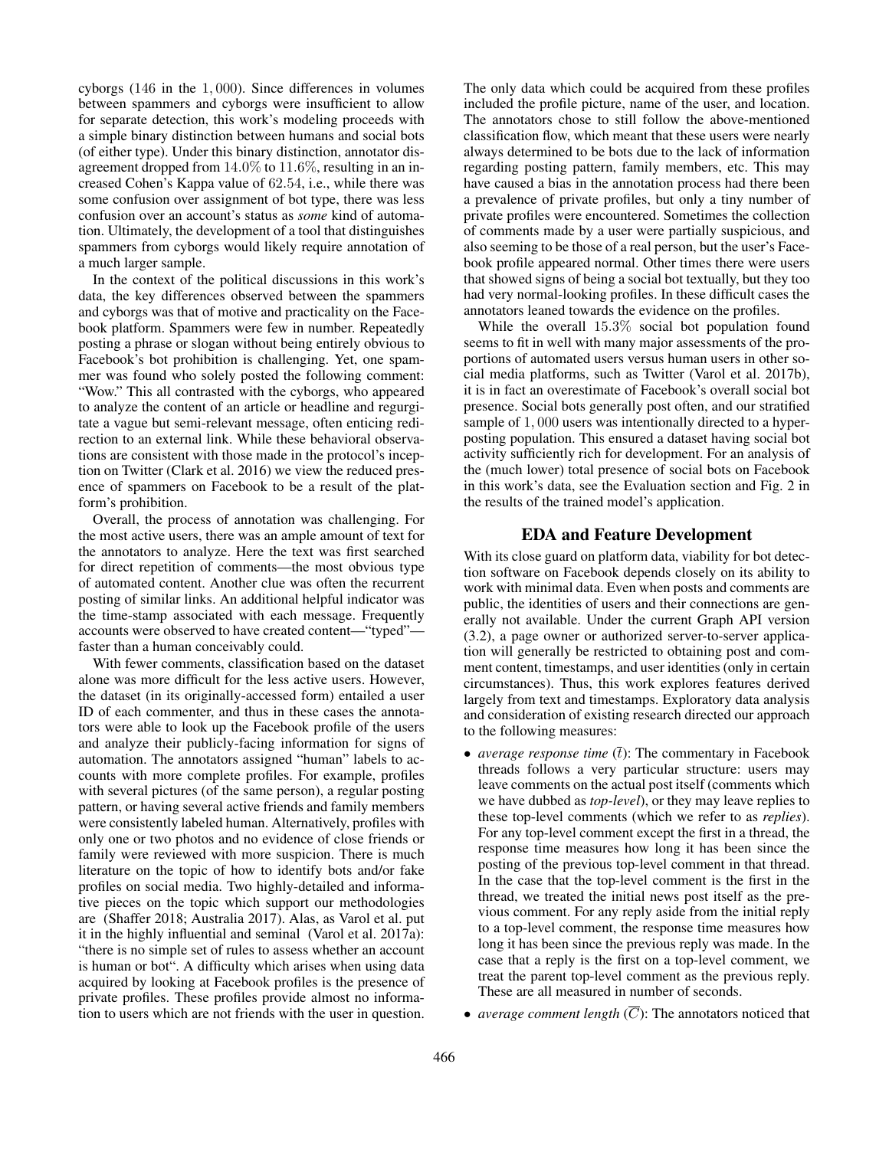cyborgs (146 in the 1, 000). Since differences in volumes between spammers and cyborgs were insufficient to allow for separate detection, this work's modeling proceeds with a simple binary distinction between humans and social bots (of either type). Under this binary distinction, annotator disagreement dropped from 14.0% to 11.6%, resulting in an increased Cohen's Kappa value of 62.54, i.e., while there was some confusion over assignment of bot type, there was less confusion over an account's status as *some* kind of automation. Ultimately, the development of a tool that distinguishes spammers from cyborgs would likely require annotation of a much larger sample.

In the context of the political discussions in this work's data, the key differences observed between the spammers and cyborgs was that of motive and practicality on the Facebook platform. Spammers were few in number. Repeatedly posting a phrase or slogan without being entirely obvious to Facebook's bot prohibition is challenging. Yet, one spammer was found who solely posted the following comment: "Wow." This all contrasted with the cyborgs, who appeared to analyze the content of an article or headline and regurgitate a vague but semi-relevant message, often enticing redirection to an external link. While these behavioral observations are consistent with those made in the protocol's inception on Twitter (Clark et al. 2016) we view the reduced presence of spammers on Facebook to be a result of the platform's prohibition.

Overall, the process of annotation was challenging. For the most active users, there was an ample amount of text for the annotators to analyze. Here the text was first searched for direct repetition of comments—the most obvious type of automated content. Another clue was often the recurrent posting of similar links. An additional helpful indicator was the time-stamp associated with each message. Frequently accounts were observed to have created content—"typed" faster than a human conceivably could.

With fewer comments, classification based on the dataset alone was more difficult for the less active users. However, the dataset (in its originally-accessed form) entailed a user ID of each commenter, and thus in these cases the annotators were able to look up the Facebook profile of the users and analyze their publicly-facing information for signs of automation. The annotators assigned "human" labels to accounts with more complete profiles. For example, profiles with several pictures (of the same person), a regular posting pattern, or having several active friends and family members were consistently labeled human. Alternatively, profiles with only one or two photos and no evidence of close friends or family were reviewed with more suspicion. There is much literature on the topic of how to identify bots and/or fake profiles on social media. Two highly-detailed and informative pieces on the topic which support our methodologies are (Shaffer 2018; Australia 2017). Alas, as Varol et al. put it in the highly influential and seminal (Varol et al. 2017a): "there is no simple set of rules to assess whether an account is human or bot". A difficulty which arises when using data acquired by looking at Facebook profiles is the presence of private profiles. These profiles provide almost no information to users which are not friends with the user in question.

The only data which could be acquired from these profiles included the profile picture, name of the user, and location. The annotators chose to still follow the above-mentioned classification flow, which meant that these users were nearly always determined to be bots due to the lack of information regarding posting pattern, family members, etc. This may have caused a bias in the annotation process had there been a prevalence of private profiles, but only a tiny number of private profiles were encountered. Sometimes the collection of comments made by a user were partially suspicious, and also seeming to be those of a real person, but the user's Facebook profile appeared normal. Other times there were users that showed signs of being a social bot textually, but they too had very normal-looking profiles. In these difficult cases the annotators leaned towards the evidence on the profiles.

While the overall 15.3% social bot population found seems to fit in well with many major assessments of the proportions of automated users versus human users in other social media platforms, such as Twitter (Varol et al. 2017b), it is in fact an overestimate of Facebook's overall social bot presence. Social bots generally post often, and our stratified sample of 1, 000 users was intentionally directed to a hyperposting population. This ensured a dataset having social bot activity sufficiently rich for development. For an analysis of the (much lower) total presence of social bots on Facebook in this work's data, see the Evaluation section and Fig. 2 in the results of the trained model's application.

# EDA and Feature Development

With its close guard on platform data, viability for bot detection software on Facebook depends closely on its ability to work with minimal data. Even when posts and comments are public, the identities of users and their connections are generally not available. Under the current Graph API version (3.2), a page owner or authorized server-to-server application will generally be restricted to obtaining post and comment content, timestamps, and user identities (only in certain circumstances). Thus, this work explores features derived largely from text and timestamps. Exploratory data analysis and consideration of existing research directed our approach to the following measures:

- *average response time*  $(\bar{t})$ : The commentary in Facebook threads follows a very particular structure: users may leave comments on the actual post itself (comments which we have dubbed as *top-level*), or they may leave replies to these top-level comments (which we refer to as *replies*). For any top-level comment except the first in a thread, the response time measures how long it has been since the posting of the previous top-level comment in that thread. In the case that the top-level comment is the first in the thread, we treated the initial news post itself as the previous comment. For any reply aside from the initial reply to a top-level comment, the response time measures how long it has been since the previous reply was made. In the case that a reply is the first on a top-level comment, we treat the parent top-level comment as the previous reply. These are all measured in number of seconds.
- *average comment length*  $(\overline{C})$ : The annotators noticed that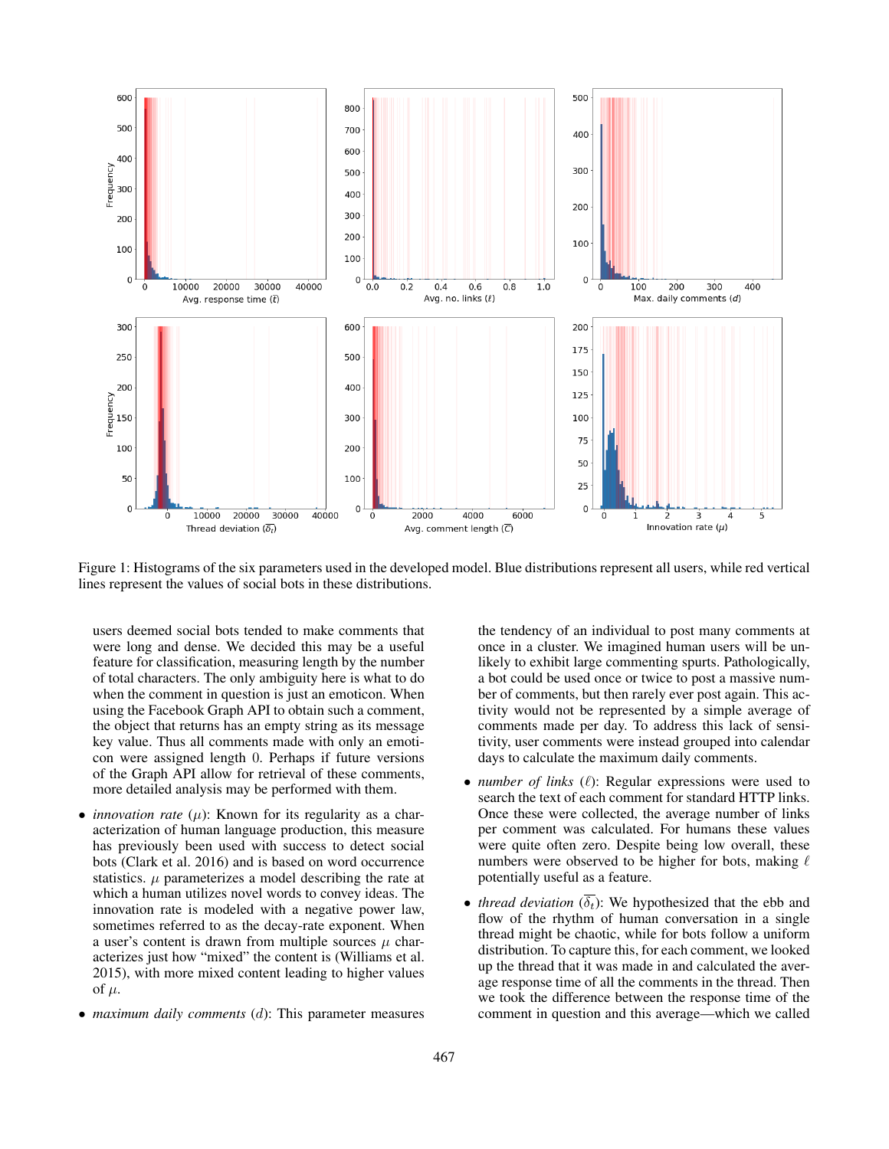

Figure 1: Histograms of the six parameters used in the developed model. Blue distributions represent all users, while red vertical lines represent the values of social bots in these distributions.

users deemed social bots tended to make comments that were long and dense. We decided this may be a useful feature for classification, measuring length by the number of total characters. The only ambiguity here is what to do when the comment in question is just an emoticon. When using the Facebook Graph API to obtain such a comment, the object that returns has an empty string as its message key value. Thus all comments made with only an emoticon were assigned length 0. Perhaps if future versions of the Graph API allow for retrieval of these comments, more detailed analysis may be performed with them.

- *innovation rate*  $(\mu)$ : Known for its regularity as a characterization of human language production, this measure has previously been used with success to detect social bots (Clark et al. 2016) and is based on word occurrence statistics.  $\mu$  parameterizes a model describing the rate at which a human utilizes novel words to convey ideas. The innovation rate is modeled with a negative power law, sometimes referred to as the decay-rate exponent. When a user's content is drawn from multiple sources  $\mu$  characterizes just how "mixed" the content is (Williams et al. 2015), with more mixed content leading to higher values of  $\mu$ .
- *maximum daily comments* (d): This parameter measures

the tendency of an individual to post many comments at once in a cluster. We imagined human users will be unlikely to exhibit large commenting spurts. Pathologically, a bot could be used once or twice to post a massive number of comments, but then rarely ever post again. This activity would not be represented by a simple average of comments made per day. To address this lack of sensitivity, user comments were instead grouped into calendar days to calculate the maximum daily comments.

- *number of links*  $(\ell)$ : Regular expressions were used to search the text of each comment for standard HTTP links. Once these were collected, the average number of links per comment was calculated. For humans these values were quite often zero. Despite being low overall, these numbers were observed to be higher for bots, making  $\ell$ potentially useful as a feature.
- *thread deviation*  $(\overline{\delta_t})$ : We hypothesized that the ebb and flow of the rhythm of human conversation in a single thread might be chaotic, while for bots follow a uniform distribution. To capture this, for each comment, we looked up the thread that it was made in and calculated the average response time of all the comments in the thread. Then we took the difference between the response time of the comment in question and this average—which we called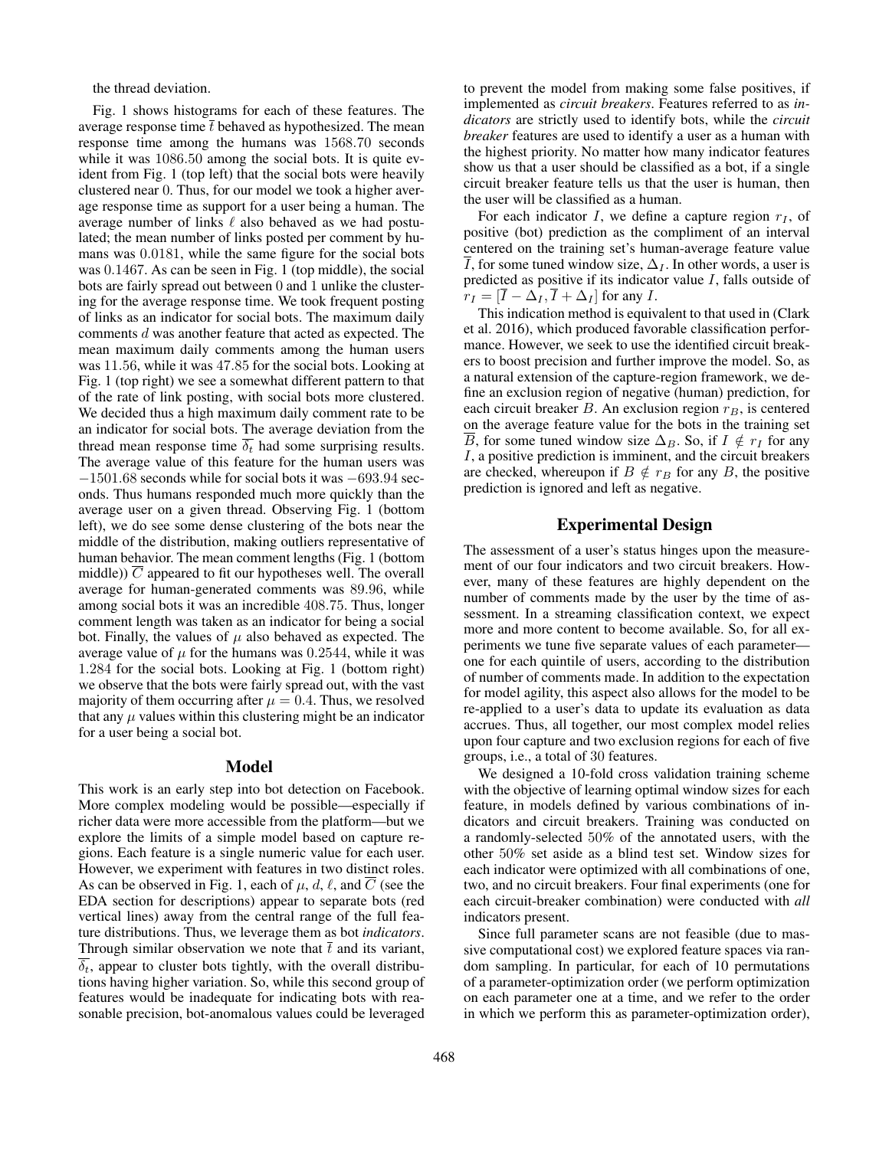the thread deviation.

Fig. 1 shows histograms for each of these features. The average response time  $\bar{t}$  behaved as hypothesized. The mean response time among the humans was 1568.70 seconds while it was 1086.50 among the social bots. It is quite evident from Fig. 1 (top left) that the social bots were heavily clustered near 0. Thus, for our model we took a higher average response time as support for a user being a human. The average number of links  $\ell$  also behaved as we had postulated; the mean number of links posted per comment by humans was 0.0181, while the same figure for the social bots was 0.1467. As can be seen in Fig. 1 (top middle), the social bots are fairly spread out between 0 and 1 unlike the clustering for the average response time. We took frequent posting of links as an indicator for social bots. The maximum daily comments d was another feature that acted as expected. The mean maximum daily comments among the human users was 11.56, while it was 47.85 for the social bots. Looking at Fig. 1 (top right) we see a somewhat different pattern to that of the rate of link posting, with social bots more clustered. We decided thus a high maximum daily comment rate to be an indicator for social bots. The average deviation from the thread mean response time  $\overline{\delta_t}$  had some surprising results. The average value of this feature for the human users was −1501.68 seconds while for social bots it was −693.94 seconds. Thus humans responded much more quickly than the average user on a given thread. Observing Fig. 1 (bottom left), we do see some dense clustering of the bots near the middle of the distribution, making outliers representative of human behavior. The mean comment lengths (Fig. 1 (bottom middle))  $\overline{C}$  appeared to fit our hypotheses well. The overall average for human-generated comments was 89.96, while among social bots it was an incredible 408.75. Thus, longer comment length was taken as an indicator for being a social bot. Finally, the values of  $\mu$  also behaved as expected. The average value of  $\mu$  for the humans was 0.2544, while it was 1.284 for the social bots. Looking at Fig. 1 (bottom right) we observe that the bots were fairly spread out, with the vast majority of them occurring after  $\mu = 0.4$ . Thus, we resolved that any  $\mu$  values within this clustering might be an indicator for a user being a social bot.

### Model

This work is an early step into bot detection on Facebook. More complex modeling would be possible—especially if richer data were more accessible from the platform—but we explore the limits of a simple model based on capture regions. Each feature is a single numeric value for each user. However, we experiment with features in two distinct roles. As can be observed in Fig. 1, each of  $\mu$ , d,  $\ell$ , and  $\overline{C}$  (see the EDA section for descriptions) appear to separate bots (red vertical lines) away from the central range of the full feature distributions. Thus, we leverage them as bot *indicators*. Through similar observation we note that  $\bar{t}$  and its variant,  $\overline{\delta_t}$ , appear to cluster bots tightly, with the overall distributions having higher variation. So, while this second group of features would be inadequate for indicating bots with reasonable precision, bot-anomalous values could be leveraged

to prevent the model from making some false positives, if implemented as *circuit breakers*. Features referred to as *indicators* are strictly used to identify bots, while the *circuit breaker* features are used to identify a user as a human with the highest priority. No matter how many indicator features show us that a user should be classified as a bot, if a single circuit breaker feature tells us that the user is human, then the user will be classified as a human.

For each indicator  $I$ , we define a capture region  $r_I$ , of positive (bot) prediction as the compliment of an interval centered on the training set's human-average feature value  $\overline{I}$ , for some tuned window size,  $\Delta_{I}$ . In other words, a user is predicted as positive if its indicator value  $I$ , falls outside of  $r_I = [\overline{I} - \Delta_I, \overline{I} + \Delta_I]$  for any I.

This indication method is equivalent to that used in (Clark et al. 2016), which produced favorable classification performance. However, we seek to use the identified circuit breakers to boost precision and further improve the model. So, as a natural extension of the capture-region framework, we define an exclusion region of negative (human) prediction, for each circuit breaker B. An exclusion region  $r_B$ , is centered on the average feature value for the bots in the training set  $\overline{B}$ , for some tuned window size  $\Delta_B$ . So, if  $I \notin r_I$  for any I, a positive prediction is imminent, and the circuit breakers are checked, whereupon if  $B \notin r_B$  for any B, the positive prediction is ignored and left as negative.

## Experimental Design

The assessment of a user's status hinges upon the measurement of our four indicators and two circuit breakers. However, many of these features are highly dependent on the number of comments made by the user by the time of assessment. In a streaming classification context, we expect more and more content to become available. So, for all experiments we tune five separate values of each parameter one for each quintile of users, according to the distribution of number of comments made. In addition to the expectation for model agility, this aspect also allows for the model to be re-applied to a user's data to update its evaluation as data accrues. Thus, all together, our most complex model relies upon four capture and two exclusion regions for each of five groups, i.e., a total of 30 features.

We designed a 10-fold cross validation training scheme with the objective of learning optimal window sizes for each feature, in models defined by various combinations of indicators and circuit breakers. Training was conducted on a randomly-selected 50% of the annotated users, with the other 50% set aside as a blind test set. Window sizes for each indicator were optimized with all combinations of one, two, and no circuit breakers. Four final experiments (one for each circuit-breaker combination) were conducted with *all* indicators present.

Since full parameter scans are not feasible (due to massive computational cost) we explored feature spaces via random sampling. In particular, for each of 10 permutations of a parameter-optimization order (we perform optimization on each parameter one at a time, and we refer to the order in which we perform this as parameter-optimization order),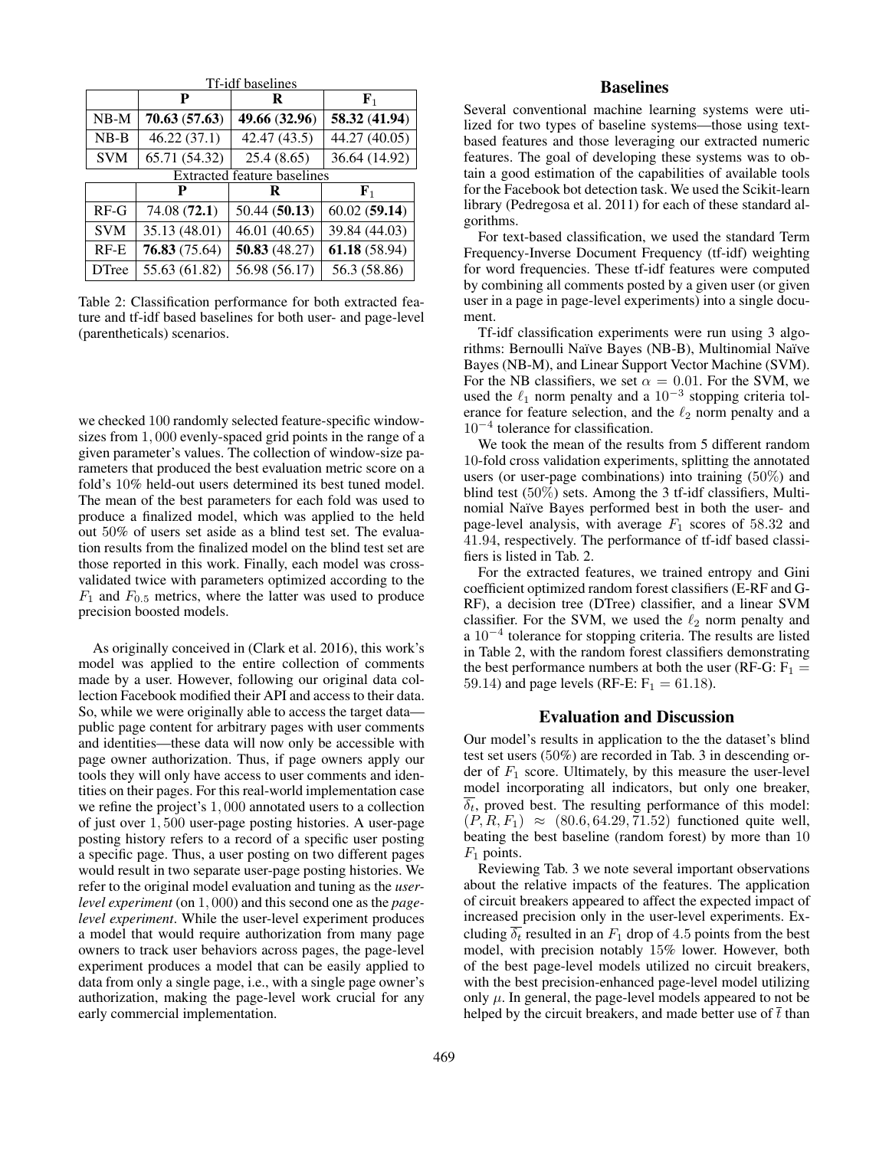| Tf-idf baselines                   |               |               |               |  |  |
|------------------------------------|---------------|---------------|---------------|--|--|
|                                    | P             | R             | ${\bf F}_1$   |  |  |
| $NB-M$                             | 70.63(57.63)  | 49.66 (32.96) | 58.32 (41.94) |  |  |
| $NB-B$                             | 46.22(37.1)   | 42.47 (43.5)  | 44.27 (40.05) |  |  |
| <b>SVM</b>                         | 65.71 (54.32) | 25.4(8.65)    | 36.64 (14.92) |  |  |
| <b>Extracted feature baselines</b> |               |               |               |  |  |
|                                    |               | R             | ${\bf F}_1$   |  |  |
| $RF-G$                             | 74.08 (72.1)  | 50.44(50.13)  | 60.02(59.14)  |  |  |
| <b>SVM</b>                         | 35.13 (48.01) | 46.01 (40.65) | 39.84 (44.03) |  |  |
| $RF-E$                             | 76.83(75.64)  | 50.83(48.27)  | 61.18(58.94)  |  |  |
| <b>DTree</b>                       | 55.63 (61.82) | 56.98 (56.17) | 56.3 (58.86)  |  |  |

Table 2: Classification performance for both extracted feature and tf-idf based baselines for both user- and page-level (parentheticals) scenarios.

we checked 100 randomly selected feature-specific windowsizes from 1, 000 evenly-spaced grid points in the range of a given parameter's values. The collection of window-size parameters that produced the best evaluation metric score on a fold's 10% held-out users determined its best tuned model. The mean of the best parameters for each fold was used to produce a finalized model, which was applied to the held out 50% of users set aside as a blind test set. The evaluation results from the finalized model on the blind test set are those reported in this work. Finally, each model was crossvalidated twice with parameters optimized according to the  $F_1$  and  $F_{0.5}$  metrics, where the latter was used to produce precision boosted models.

As originally conceived in (Clark et al. 2016), this work's model was applied to the entire collection of comments made by a user. However, following our original data collection Facebook modified their API and access to their data. So, while we were originally able to access the target data public page content for arbitrary pages with user comments and identities—these data will now only be accessible with page owner authorization. Thus, if page owners apply our tools they will only have access to user comments and identities on their pages. For this real-world implementation case we refine the project's 1, 000 annotated users to a collection of just over 1, 500 user-page posting histories. A user-page posting history refers to a record of a specific user posting a specific page. Thus, a user posting on two different pages would result in two separate user-page posting histories. We refer to the original model evaluation and tuning as the *userlevel experiment* (on 1, 000) and this second one as the *pagelevel experiment*. While the user-level experiment produces a model that would require authorization from many page owners to track user behaviors across pages, the page-level experiment produces a model that can be easily applied to data from only a single page, i.e., with a single page owner's authorization, making the page-level work crucial for any early commercial implementation.

# Baselines

Several conventional machine learning systems were utilized for two types of baseline systems—those using textbased features and those leveraging our extracted numeric features. The goal of developing these systems was to obtain a good estimation of the capabilities of available tools for the Facebook bot detection task. We used the Scikit-learn library (Pedregosa et al. 2011) for each of these standard algorithms.

For text-based classification, we used the standard Term Frequency-Inverse Document Frequency (tf-idf) weighting for word frequencies. These tf-idf features were computed by combining all comments posted by a given user (or given user in a page in page-level experiments) into a single document.

Tf-idf classification experiments were run using 3 algorithms: Bernoulli Naïve Bayes (NB-B), Multinomial Naïve Bayes (NB-M), and Linear Support Vector Machine (SVM). For the NB classifiers, we set  $\alpha = 0.01$ . For the SVM, we used the  $\ell_1$  norm penalty and a  $10^{-3}$  stopping criteria tolerance for feature selection, and the  $\ell_2$  norm penalty and a 10<sup>−</sup><sup>4</sup> tolerance for classification.

We took the mean of the results from 5 different random 10-fold cross validation experiments, splitting the annotated users (or user-page combinations) into training (50%) and blind test (50%) sets. Among the 3 tf-idf classifiers, Multinomial Naïve Bayes performed best in both the user- and page-level analysis, with average  $F_1$  scores of 58.32 and 41.94, respectively. The performance of tf-idf based classifiers is listed in Tab. 2.

For the extracted features, we trained entropy and Gini coefficient optimized random forest classifiers (E-RF and G-RF), a decision tree (DTree) classifier, and a linear SVM classifier. For the SVM, we used the  $\ell_2$  norm penalty and a 10<sup>-4</sup> tolerance for stopping criteria. The results are listed in Table 2, with the random forest classifiers demonstrating the best performance numbers at both the user (RF-G:  $F_1 =$ 59.14) and page levels (RF-E:  $F_1 = 61.18$ ).

## Evaluation and Discussion

Our model's results in application to the the dataset's blind test set users (50%) are recorded in Tab. 3 in descending order of  $F_1$  score. Ultimately, by this measure the user-level model incorporating all indicators, but only one breaker,  $\overline{\delta_t}$ , proved best. The resulting performance of this model:  $(P, R, F_1) \approx (80.6, 64.29, 71.52)$  functioned quite well, beating the best baseline (random forest) by more than 10  $F_1$  points.

Reviewing Tab. 3 we note several important observations about the relative impacts of the features. The application of circuit breakers appeared to affect the expected impact of increased precision only in the user-level experiments. Excluding  $\overline{\delta_t}$  resulted in an  $F_1$  drop of 4.5 points from the best model, with precision notably 15% lower. However, both of the best page-level models utilized no circuit breakers, with the best precision-enhanced page-level model utilizing only  $\mu$ . In general, the page-level models appeared to not be helped by the circuit breakers, and made better use of  $\bar{t}$  than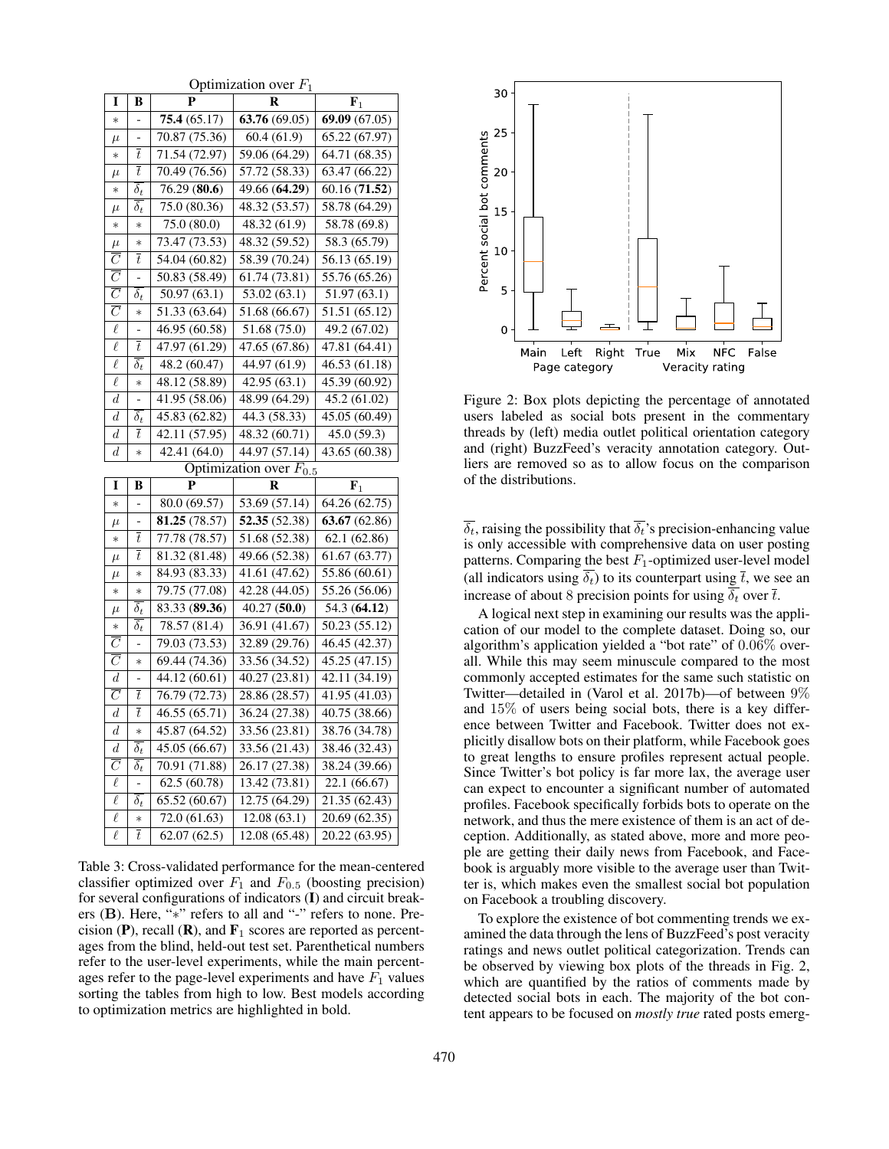Optimization over F<sup>1</sup>

| I                                      | B                        | P                           | $\sim$ punnement over $\bm{1}$<br>R | $\mathbf{F}_1$                 |  |  |
|----------------------------------------|--------------------------|-----------------------------|-------------------------------------|--------------------------------|--|--|
| $\ast$                                 | $\overline{\phantom{0}}$ | 75.4(65.17)                 | 63.76(69.05)                        | 69.09 (67.05)                  |  |  |
| $\mu$                                  |                          | 70.87 (75.36)               | 60.4(61.9)                          | 65.22 (67.97)                  |  |  |
| $\ast$                                 | $\overline{t}$           | 71.54 (72.97)               | 59.06 (64.29)                       | 64.71 (68.35)                  |  |  |
| $\mu$                                  | $\bar{t}$                | 70.49 (76.56)               | 57.72 (58.33)                       | 63.47 (66.22)                  |  |  |
| $\ast$                                 | $\overline{\delta_t}$    | 76.29(80.6)                 | 49.66 (64.29)                       | 60.16 (71.52)                  |  |  |
| $\mu$                                  | $\delta_t$               | 75.0 (80.36)                | 48.32 (53.57)                       | 58.78 (64.29)                  |  |  |
| $\ast$                                 | $\ast$                   | 75.0 (80.0)                 | 48.32 (61.9)                        | 58.78 (69.8)                   |  |  |
| $\mu$                                  | $\ast$                   | 73.47 (73.53)               | 48.32 (59.52)                       | $\overline{58.3}$ (65.79)      |  |  |
| $\overline{C}$                         | $\bar{t}$                | 54.04 (60.82)               | 58.39 (70.24)                       | 56.13 (65.19)                  |  |  |
| $\overline{C}$                         | $\overline{a}$           | 50.83 (58.49)               | 61.74 (73.81)                       | 55.76 (65.26)                  |  |  |
| $\overline{C}$                         | $\overline{\delta_t}$    | 50.97 (63.1)                | 53.02 (63.1)                        | 51.97 (63.1)                   |  |  |
| $\overline{\overline{C}}$              | $\ast$                   | 51.33 (63.64)               | 51.68 (66.67)                       | 51.51(65.12)                   |  |  |
| $\ell$                                 |                          | 46.95 (60.58)               | 51.68 (75.0)                        | 49.2 (67.02)                   |  |  |
| $\ell$                                 | $\bar{t}$                | 47.97 (61.29)               | 47.65 (67.86)                       | 47.81 (64.41)                  |  |  |
| $\ell$                                 | $\overline{\delta_t}$    | 48.2 (60.47)                | 44.97 (61.9)                        | 46.53 (61.18)                  |  |  |
| $\ell$                                 | $\ast$                   | 48.12 (58.89)               | 42.95 (63.1)                        | 45.39 (60.92)                  |  |  |
| $\boldsymbol{d}$                       |                          | 41.95 (58.06)               | 48.99 (64.29)                       | 45.2 (61.02)                   |  |  |
| $\boldsymbol{d}$                       | $\delta_t$               | 45.83 (62.82)               | 44.3 (58.33)                        | 45.05 (60.49)                  |  |  |
| $\boldsymbol{d}$                       | $\boldsymbol{t}$         | 42.11(57.95)                | 48.32(60.71)                        | 45.0(59.3)                     |  |  |
| $_{d}$                                 | $\ast$                   | 42.41 (64.0)                | 44.97 (57.14)                       | 43.65 (60.38)                  |  |  |
| Optimization over $\overline{F_{0.5}}$ |                          |                             |                                     |                                |  |  |
|                                        |                          |                             |                                     |                                |  |  |
| I                                      | B                        | P                           | R                                   | ${\bf F}_1$                    |  |  |
| $\ast$                                 |                          | 80.0 (69.57)                | 53.69 (57.14)                       | 64.26 (62.75)                  |  |  |
| $\mu$                                  |                          | 81.25 (78.57)               | 52.35 (52.38)                       | 63.67 (62.86)                  |  |  |
| $\ast$                                 | $\bar{t}$                | 77.78 (78.57)               | 51.68 (52.38)                       | 62.1 (62.86)                   |  |  |
| $\mu$                                  | $\bar{t}$                | 81.32 (81.48)               | 49.66 (52.38)                       | 61.67 (63.77)                  |  |  |
| $\mu$                                  | $\ast$                   | 84.93 (83.33)               | 41.61 (47.62)                       | 55.86 (60.61)                  |  |  |
| $\ast$                                 | $\ast$                   | 79.75 (77.08)               | 42.28 (44.05)                       | 55.26 (56.06)                  |  |  |
| $\mu$                                  | $\delta_t$               | 83.33 (89.36)               | 40.27(50.0)                         | 54.3 (64.12)                   |  |  |
| $\ast$                                 | $\delta_t$               | 78.57 (81.4)                | 36.91 (41.67)                       | 50.23 (55.12)                  |  |  |
| $\overline{C}$                         |                          | 79.03 (73.53)               | 32.89 (29.76)                       | 46.45 (42.37)                  |  |  |
| $\overline{C}$                         | $\ast$                   | 69.44 (74.36)               | 33.56 (34.52)                       | 45.25 (47.15)                  |  |  |
| $\boldsymbol{d}$                       | -                        | 44.12 (60.61)               | 40.27 (23.81)                       | 42.11 (34.19)                  |  |  |
| $\overline{C}$                         | $\overline{t}$           | 76.79 (72.73)               | 28.86 (28.57)                       | 41.95 (41.03)                  |  |  |
| $\boldsymbol{d}$                       | $\bar{t}$                | 46.55 (65.71)               | 36.24 (27.38)                       | 40.75 (38.66)                  |  |  |
| $\boldsymbol{d}$                       | $\ast$                   | 45.87 (64.52)               | 33.56 (23.81)                       | 38.76 (34.78)                  |  |  |
| $\boldsymbol{d}$                       | $\bar{\delta}_t$         | 45.05 (66.67)               | 33.56 (21.43)                       | 38.46 (32.43)                  |  |  |
| $\overline{C}$                         | $\overline{\delta_t}$    | 70.91 (71.88)               | 26.17 (27.38)                       | 38.24 (39.66)                  |  |  |
| $\overline{\ell}$                      | $\overline{a}$           | 62.5 (60.78)                | 13.42 (73.81)                       | 22.1 (66.67)                   |  |  |
| $\ell$                                 | $\overline{\delta_t}$    | 65.52 (60.67)               | 12.75 (64.29)                       | 21.35 (62.43)                  |  |  |
| $\ell$<br>$\ell$                       | $*$<br>$\bar{t}$         | 72.0 (61.63)<br>62.07(62.5) | 12.08(63.1)<br>12.08 (65.48)        | 20.69 (62.35)<br>20.22 (63.95) |  |  |

Table 3: Cross-validated performance for the mean-centered classifier optimized over  $F_1$  and  $F_{0.5}$  (boosting precision) for several configurations of indicators (I) and circuit breakers (B). Here, "∗" refers to all and "-" refers to none. Precision (P), recall (R), and  $\mathbf{F}_1$  scores are reported as percentages from the blind, held-out test set. Parenthetical numbers refer to the user-level experiments, while the main percentages refer to the page-level experiments and have  $F_1$  values sorting the tables from high to low. Best models according to optimization metrics are highlighted in bold.



Figure 2: Box plots depicting the percentage of annotated users labeled as social bots present in the commentary threads by (left) media outlet political orientation category and (right) BuzzFeed's veracity annotation category. Outliers are removed so as to allow focus on the comparison of the distributions.

 $\overline{\delta_t}$ , raising the possibility that  $\overline{\delta_t}$ 's precision-enhancing value is only accessible with comprehensive data on user posting patterns. Comparing the best  $F_1$ -optimized user-level model (all indicators using  $\overline{\delta_t}$ ) to its counterpart using  $\overline{t}$ , we see an increase of about 8 precision points for using  $\overline{\delta_t}$  over  $\overline{t}$ .

A logical next step in examining our results was the application of our model to the complete dataset. Doing so, our algorithm's application yielded a "bot rate" of 0.06% overall. While this may seem minuscule compared to the most commonly accepted estimates for the same such statistic on Twitter—detailed in (Varol et al. 2017b)—of between 9% and 15% of users being social bots, there is a key difference between Twitter and Facebook. Twitter does not explicitly disallow bots on their platform, while Facebook goes to great lengths to ensure profiles represent actual people. Since Twitter's bot policy is far more lax, the average user can expect to encounter a significant number of automated profiles. Facebook specifically forbids bots to operate on the network, and thus the mere existence of them is an act of deception. Additionally, as stated above, more and more people are getting their daily news from Facebook, and Facebook is arguably more visible to the average user than Twitter is, which makes even the smallest social bot population on Facebook a troubling discovery.

To explore the existence of bot commenting trends we examined the data through the lens of BuzzFeed's post veracity ratings and news outlet political categorization. Trends can be observed by viewing box plots of the threads in Fig. 2, which are quantified by the ratios of comments made by detected social bots in each. The majority of the bot content appears to be focused on *mostly true* rated posts emerg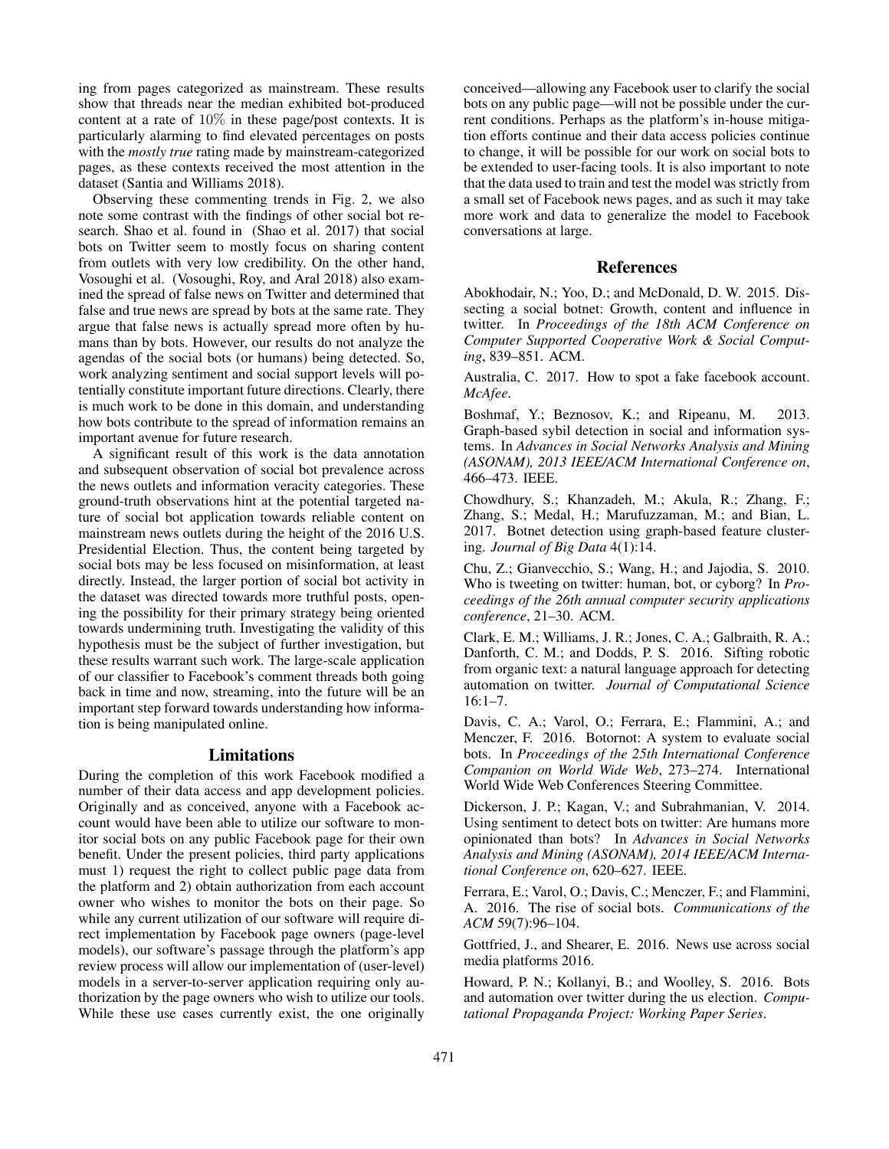ing from pages categorized as mainstream. These results show that threads near the median exhibited bot-produced content at a rate of 10% in these page/post contexts. It is particularly alarming to find elevated percentages on posts with the *mostly true* rating made by mainstream-categorized pages, as these contexts received the most attention in the dataset (Santia and Williams 2018).

Observing these commenting trends in Fig. 2, we also note some contrast with the findings of other social bot research. Shao et al. found in (Shao et al. 2017) that social bots on Twitter seem to mostly focus on sharing content from outlets with very low credibility. On the other hand, Vosoughi et al. (Vosoughi, Roy, and Aral 2018) also examined the spread of false news on Twitter and determined that false and true news are spread by bots at the same rate. They argue that false news is actually spread more often by humans than by bots. However, our results do not analyze the agendas of the social bots (or humans) being detected. So, work analyzing sentiment and social support levels will potentially constitute important future directions. Clearly, there is much work to be done in this domain, and understanding how bots contribute to the spread of information remains an important avenue for future research.

A significant result of this work is the data annotation and subsequent observation of social bot prevalence across the news outlets and information veracity categories. These ground-truth observations hint at the potential targeted nature of social bot application towards reliable content on mainstream news outlets during the height of the 2016 U.S. Presidential Election. Thus, the content being targeted by social bots may be less focused on misinformation, at least directly. Instead, the larger portion of social bot activity in the dataset was directed towards more truthful posts, opening the possibility for their primary strategy being oriented towards undermining truth. Investigating the validity of this hypothesis must be the subject of further investigation, but these results warrant such work. The large-scale application of our classifier to Facebook's comment threads both going back in time and now, streaming, into the future will be an important step forward towards understanding how information is being manipulated online.

### Limitations

During the completion of this work Facebook modified a number of their data access and app development policies. Originally and as conceived, anyone with a Facebook account would have been able to utilize our software to monitor social bots on any public Facebook page for their own benefit. Under the present policies, third party applications must 1) request the right to collect public page data from the platform and 2) obtain authorization from each account owner who wishes to monitor the bots on their page. So while any current utilization of our software will require direct implementation by Facebook page owners (page-level models), our software's passage through the platform's app review process will allow our implementation of (user-level) models in a server-to-server application requiring only authorization by the page owners who wish to utilize our tools. While these use cases currently exist, the one originally conceived—allowing any Facebook user to clarify the social bots on any public page—will not be possible under the current conditions. Perhaps as the platform's in-house mitigation efforts continue and their data access policies continue to change, it will be possible for our work on social bots to be extended to user-facing tools. It is also important to note that the data used to train and test the model was strictly from a small set of Facebook news pages, and as such it may take more work and data to generalize the model to Facebook conversations at large.

#### References

Abokhodair, N.; Yoo, D.; and McDonald, D. W. 2015. Dissecting a social botnet: Growth, content and influence in twitter. In *Proceedings of the 18th ACM Conference on Computer Supported Cooperative Work & Social Computing*, 839–851. ACM.

Australia, C. 2017. How to spot a fake facebook account. *McAfee*.

Boshmaf, Y.; Beznosov, K.; and Ripeanu, M. 2013. Graph-based sybil detection in social and information systems. In *Advances in Social Networks Analysis and Mining (ASONAM), 2013 IEEE/ACM International Conference on*, 466–473. IEEE.

Chowdhury, S.; Khanzadeh, M.; Akula, R.; Zhang, F.; Zhang, S.; Medal, H.; Marufuzzaman, M.; and Bian, L. 2017. Botnet detection using graph-based feature clustering. *Journal of Big Data* 4(1):14.

Chu, Z.; Gianvecchio, S.; Wang, H.; and Jajodia, S. 2010. Who is tweeting on twitter: human, bot, or cyborg? In *Proceedings of the 26th annual computer security applications conference*, 21–30. ACM.

Clark, E. M.; Williams, J. R.; Jones, C. A.; Galbraith, R. A.; Danforth, C. M.; and Dodds, P. S. 2016. Sifting robotic from organic text: a natural language approach for detecting automation on twitter. *Journal of Computational Science* 16:1–7.

Davis, C. A.; Varol, O.; Ferrara, E.; Flammini, A.; and Menczer, F. 2016. Botornot: A system to evaluate social bots. In *Proceedings of the 25th International Conference Companion on World Wide Web*, 273–274. International World Wide Web Conferences Steering Committee.

Dickerson, J. P.; Kagan, V.; and Subrahmanian, V. 2014. Using sentiment to detect bots on twitter: Are humans more opinionated than bots? In *Advances in Social Networks Analysis and Mining (ASONAM), 2014 IEEE/ACM International Conference on*, 620–627. IEEE.

Ferrara, E.; Varol, O.; Davis, C.; Menczer, F.; and Flammini, A. 2016. The rise of social bots. *Communications of the ACM* 59(7):96–104.

Gottfried, J., and Shearer, E. 2016. News use across social media platforms 2016.

Howard, P. N.; Kollanyi, B.; and Woolley, S. 2016. Bots and automation over twitter during the us election. *Computational Propaganda Project: Working Paper Series*.